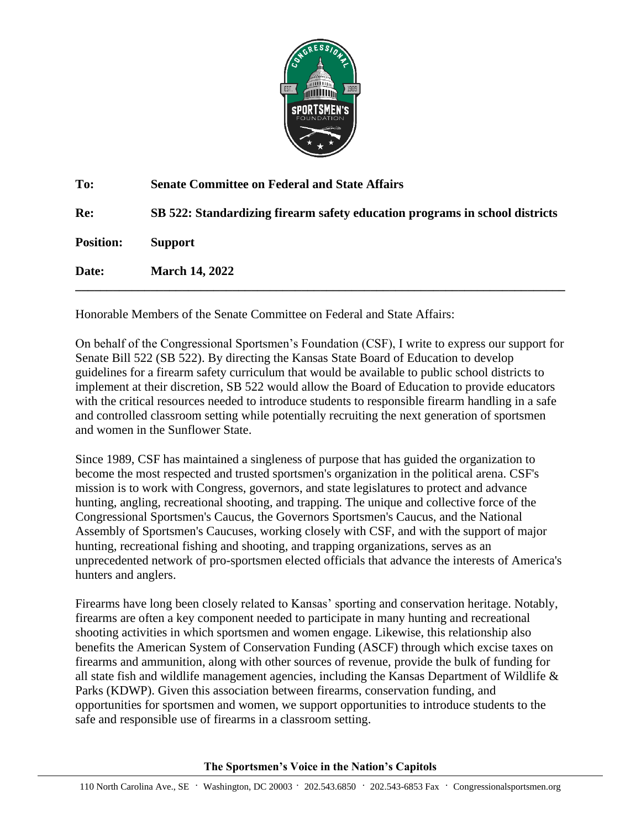

| To:              | <b>Senate Committee on Federal and State Affairs</b>                        |
|------------------|-----------------------------------------------------------------------------|
| Re:              | SB 522: Standardizing firearm safety education programs in school districts |
| <b>Position:</b> | <b>Support</b>                                                              |
| Date:            | <b>March 14, 2022</b>                                                       |
|                  |                                                                             |

Honorable Members of the Senate Committee on Federal and State Affairs:

On behalf of the Congressional Sportsmen's Foundation (CSF), I write to express our support for Senate Bill 522 (SB 522). By directing the Kansas State Board of Education to develop guidelines for a firearm safety curriculum that would be available to public school districts to implement at their discretion, SB 522 would allow the Board of Education to provide educators with the critical resources needed to introduce students to responsible firearm handling in a safe and controlled classroom setting while potentially recruiting the next generation of sportsmen and women in the Sunflower State.

Since 1989, CSF has maintained a singleness of purpose that has guided the organization to become the most respected and trusted sportsmen's organization in the political arena. CSF's mission is to work with Congress, governors, and state legislatures to protect and advance hunting, angling, recreational shooting, and trapping. The unique and collective force of the Congressional Sportsmen's Caucus, the Governors Sportsmen's Caucus, and the National Assembly of Sportsmen's Caucuses, working closely with CSF, and with the support of major hunting, recreational fishing and shooting, and trapping organizations, serves as an unprecedented network of pro-sportsmen elected officials that advance the interests of America's hunters and anglers.

Firearms have long been closely related to Kansas' sporting and conservation heritage. Notably, firearms are often a key component needed to participate in many hunting and recreational shooting activities in which sportsmen and women engage. Likewise, this relationship also benefits the American System of Conservation Funding (ASCF) through which excise taxes on firearms and ammunition, along with other sources of revenue, provide the bulk of funding for all state fish and wildlife management agencies, including the Kansas Department of Wildlife & Parks (KDWP). Given this association between firearms, conservation funding, and opportunities for sportsmen and women, we support opportunities to introduce students to the safe and responsible use of firearms in a classroom setting.